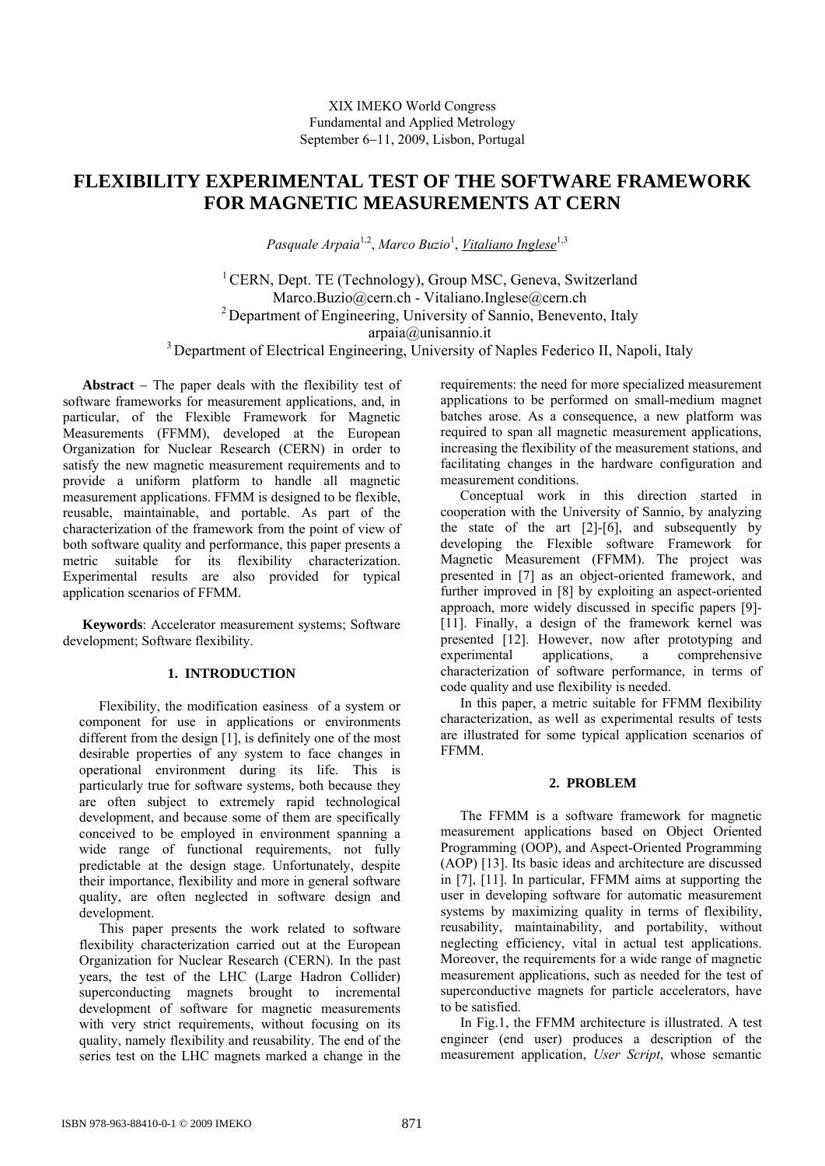# **FLEXIBILITY EXPERIMENTAL TEST OF THE SOFTWARE FRAMEWORK FOR MAGNETIC MEASUREMENTS AT CERN**

Pasquale Arpaia<sup>1,2</sup>, Marco Buzio<sup>1</sup>, <u>Vitaliano Inglese</u><sup>1,3</sup>

<sup>1</sup> CERN, Dept. TE (Technology), Group MSC, Geneva, Switzerland Marco.Buzio@cern.ch - Vitaliano.Inglese@cern.ch 2 Department of Engineering, University of Sannio, Benevento, Italy arpaia@unisannio.it

<sup>3</sup> Department of Electrical Engineering, University of Naples Federico II, Napoli, Italy

**Abstract** − The paper deals with the flexibility test of software frameworks for measurement applications, and, in particular, of the Flexible Framework for Magnetic Measurements (FFMM), developed at the European Organization for Nuclear Research (CERN) in order to satisfy the new magnetic measurement requirements and to provide a uniform platform to handle all magnetic measurement applications. FFMM is designed to be flexible, reusable, maintainable, and portable. As part of the characterization of the framework from the point of view of both software quality and performance, this paper presents a metric suitable for its flexibility characterization. Experimental results are also provided for typical application scenarios of FFMM.

**Keywords**: Accelerator measurement systems; Software development; Software flexibility.

## **1. INTRODUCTION**

Flexibility, the modification easiness of a system or component for use in applications or environments different from the design [1], is definitely one of the most desirable properties of any system to face changes in operational environment during its life. This is particularly true for software systems, both because they are often subject to extremely rapid technological development, and because some of them are specifically conceived to be employed in environment spanning a wide range of functional requirements, not fully predictable at the design stage. Unfortunately, despite their importance, flexibility and more in general software quality, are often neglected in software design and development.

This paper presents the work related to software flexibility characterization carried out at the European Organization for Nuclear Research (CERN). In the past years, the test of the LHC (Large Hadron Collider) superconducting magnets brought to incremental development of software for magnetic measurements with very strict requirements, without focusing on its quality, namely flexibility and reusability. The end of the series test on the LHC magnets marked a change in the requirements: the need for more specialized measurement applications to be performed on small-medium magnet batches arose. As a consequence, a new platform was required to span all magnetic measurement applications, increasing the flexibility of the measurement stations, and facilitating changes in the hardware configuration and measurement conditions.

Conceptual work in this direction started in cooperation with the University of Sannio, by analyzing the state of the art [2]-[6], and subsequently by developing the Flexible software Framework for Magnetic Measurement (FFMM). The project was presented in [7] as an object-oriented framework, and further improved in [8] by exploiting an aspect-oriented approach, more widely discussed in specific papers [9]- [11]. Finally, a design of the framework kernel was presented [12]. However, now after prototyping and experimental applications, a comprehensive characterization of software performance, in terms of code quality and use flexibility is needed.

In this paper, a metric suitable for FFMM flexibility characterization, as well as experimental results of tests are illustrated for some typical application scenarios of FFMM.

## **2. PROBLEM**

The FFMM is a software framework for magnetic measurement applications based on Object Oriented Programming (OOP), and Aspect-Oriented Programming (AOP) [13]. Its basic ideas and architecture are discussed in [7], [11]. In particular, FFMM aims at supporting the user in developing software for automatic measurement systems by maximizing quality in terms of flexibility, reusability, maintainability, and portability, without neglecting efficiency, vital in actual test applications. Moreover, the requirements for a wide range of magnetic measurement applications, such as needed for the test of superconductive magnets for particle accelerators, have to be satisfied.

In Fig.1, the FFMM architecture is illustrated. A test engineer (end user) produces a description of the measurement application, *User Script*, whose semantic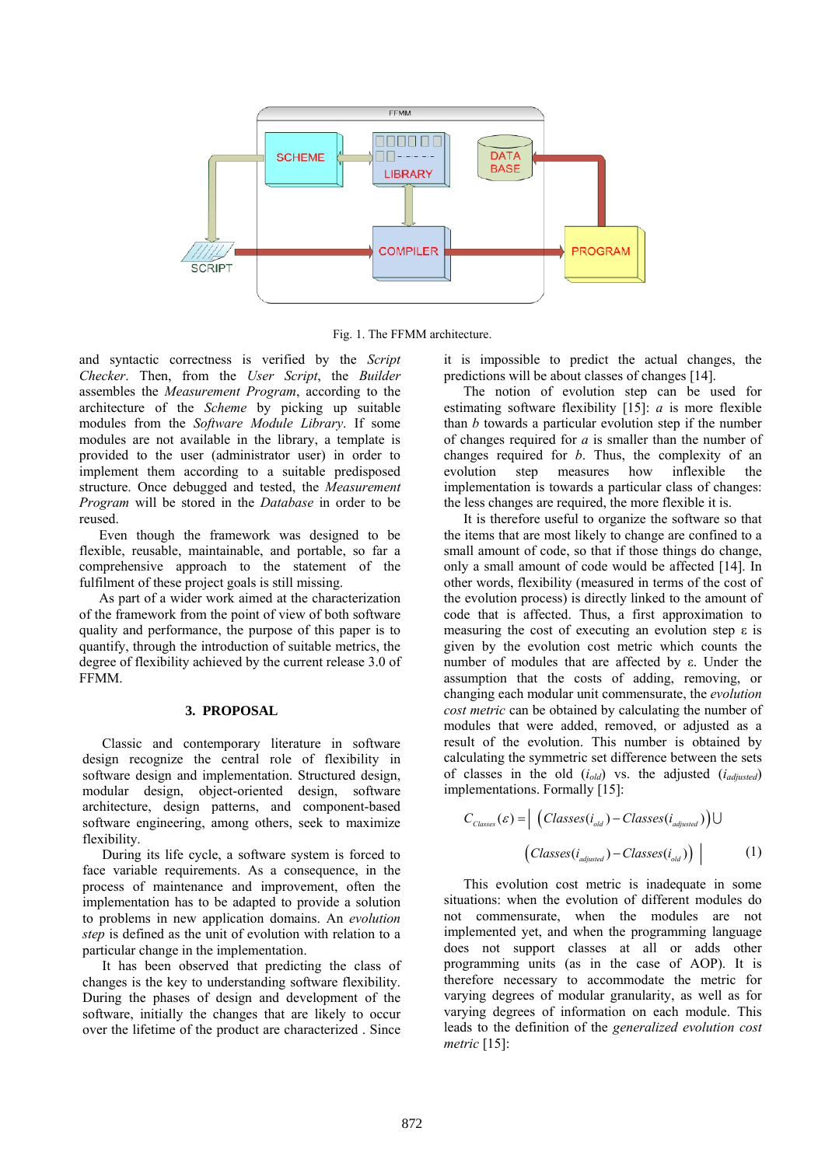

Fig. 1. The FFMM architecture.

and syntactic correctness is verified by the *Script Checker*. Then, from the *User Script*, the *Builder* assembles the *Measurement Program*, according to the architecture of the *Scheme* by picking up suitable modules from the *Software Module Library*. If some modules are not available in the library, a template is provided to the user (administrator user) in order to implement them according to a suitable predisposed structure. Once debugged and tested, the *Measurement Program* will be stored in the *Database* in order to be reused.

Even though the framework was designed to be flexible, reusable, maintainable, and portable, so far a comprehensive approach to the statement of the fulfilment of these project goals is still missing.

As part of a wider work aimed at the characterization of the framework from the point of view of both software quality and performance, the purpose of this paper is to quantify, through the introduction of suitable metrics, the degree of flexibility achieved by the current release 3.0 of FFMM.

#### **3. PROPOSAL**

Classic and contemporary literature in software design recognize the central role of flexibility in software design and implementation. Structured design, modular design, object-oriented design, software architecture, design patterns, and component-based software engineering, among others, seek to maximize flexibility.

During its life cycle, a software system is forced to face variable requirements. As a consequence, in the process of maintenance and improvement, often the implementation has to be adapted to provide a solution to problems in new application domains. An *evolution step* is defined as the unit of evolution with relation to a particular change in the implementation.

It has been observed that predicting the class of changes is the key to understanding software flexibility. During the phases of design and development of the software, initially the changes that are likely to occur over the lifetime of the product are characterized . Since

it is impossible to predict the actual changes, the predictions will be about classes of changes [14].

The notion of evolution step can be used for estimating software flexibility [15]: *a* is more flexible than *b* towards a particular evolution step if the number of changes required for *a* is smaller than the number of changes required for *b*. Thus, the complexity of an evolution step measures how inflexible the implementation is towards a particular class of changes: the less changes are required, the more flexible it is.

It is therefore useful to organize the software so that the items that are most likely to change are confined to a small amount of code, so that if those things do change, only a small amount of code would be affected [14]. In other words, flexibility (measured in terms of the cost of the evolution process) is directly linked to the amount of code that is affected. Thus, a first approximation to measuring the cost of executing an evolution step  $\varepsilon$  is given by the evolution cost metric which counts the number of modules that are affected by ε. Under the assumption that the costs of adding, removing, or changing each modular unit commensurate, the *evolution cost metric* can be obtained by calculating the number of modules that were added, removed, or adjusted as a result of the evolution. This number is obtained by calculating the symmetric set difference between the sets of classes in the old (*iold*) vs. the adjusted (*iadjusted*) implementations. Formally [15]:

$$
C_{\text{classes}}(\varepsilon) = \left| \left( \text{Classes}(i_{\text{old}}) - \text{Classes}(i_{\text{adjusted}}) \right) \right| \tag{1}
$$
\n
$$
\left( \text{Classes}(i_{\text{adjusted}}) - \text{Classes}(i_{\text{old}}) \right)
$$

This evolution cost metric is inadequate in some situations: when the evolution of different modules do not commensurate, when the modules are not implemented yet, and when the programming language does not support classes at all or adds other programming units (as in the case of AOP). It is therefore necessary to accommodate the metric for varying degrees of modular granularity, as well as for varying degrees of information on each module. This leads to the definition of the *generalized evolution cost metric* [15]: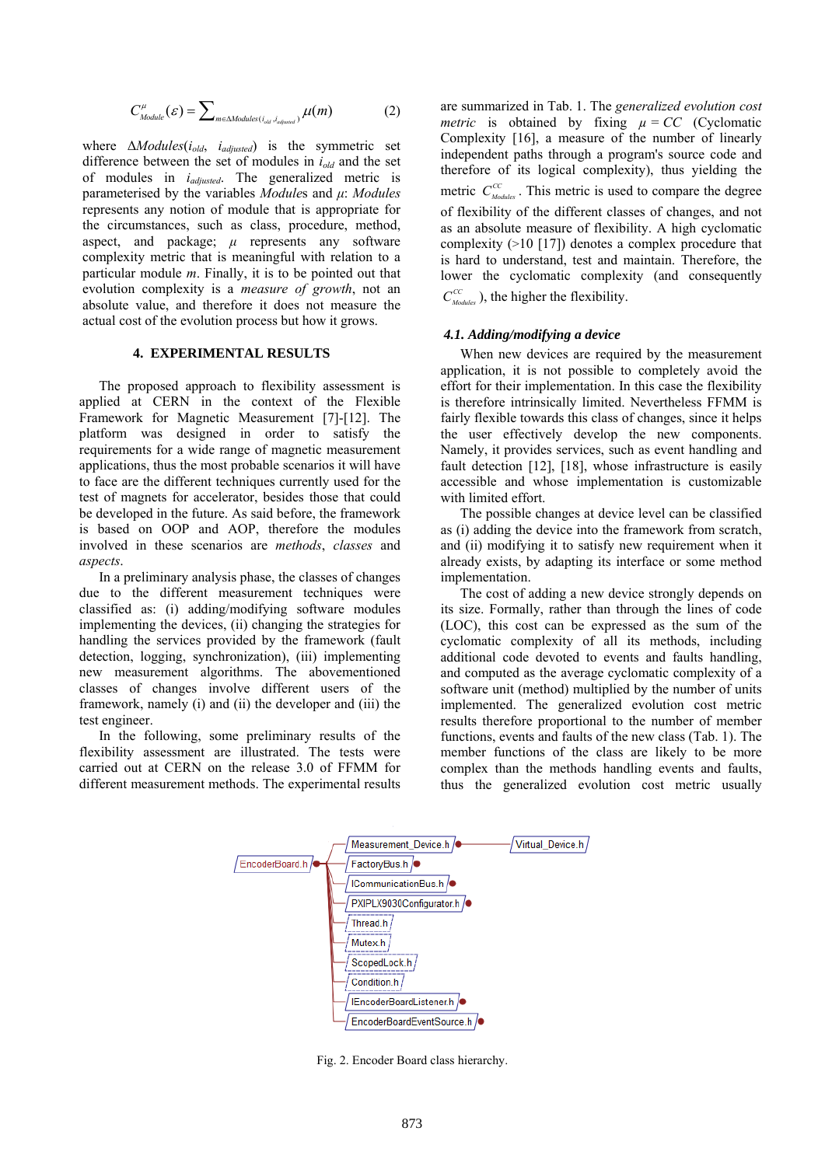$$
C_{\text{Module}}^{\mu}(\mathcal{E}) = \sum\nolimits_{m \in \text{Modules}(i_{\text{old}}, i_{\text{adjused}})} \mu(m) \tag{2}
$$

where Δ*Modules*(*iold*, *iadjusted*) is the symmetric set difference between the set of modules in *iold* and the set of modules in *iadjusted*. The generalized metric is parameterised by the variables *Module*s and *μ*: *Modules* represents any notion of module that is appropriate for the circumstances, such as class, procedure, method, aspect, and package; *μ* represents any software complexity metric that is meaningful with relation to a particular module *m*. Finally, it is to be pointed out that evolution complexity is a *measure of growth*, not an absolute value, and therefore it does not measure the actual cost of the evolution process but how it grows.

#### **4. EXPERIMENTAL RESULTS**

The proposed approach to flexibility assessment is applied at CERN in the context of the Flexible Framework for Magnetic Measurement [7]-[12]. The platform was designed in order to satisfy the requirements for a wide range of magnetic measurement applications, thus the most probable scenarios it will have to face are the different techniques currently used for the test of magnets for accelerator, besides those that could be developed in the future. As said before, the framework is based on OOP and AOP, therefore the modules involved in these scenarios are *methods*, *classes* and *aspects*.

In a preliminary analysis phase, the classes of changes due to the different measurement techniques were classified as: (i) adding/modifying software modules implementing the devices, (ii) changing the strategies for handling the services provided by the framework (fault detection, logging, synchronization), (iii) implementing new measurement algorithms. The abovementioned classes of changes involve different users of the framework, namely (i) and (ii) the developer and (iii) the test engineer.

In the following, some preliminary results of the flexibility assessment are illustrated. The tests were carried out at CERN on the release 3.0 of FFMM for different measurement methods. The experimental results are summarized in Tab. 1. The *generalized evolution cost metric* is obtained by fixing  $\mu = CC$  (Cyclomatic Complexity [16], a measure of the number of linearly independent paths through a program's source code and therefore of its logical complexity), thus yielding the metric  $C_{\text{Modless}}^{CC}$ . This metric is used to compare the degree of flexibility of the different classes of changes, and not as an absolute measure of flexibility. A high cyclomatic complexity (>10 [17]) denotes a complex procedure that is hard to understand, test and maintain. Therefore, the lower the cyclomatic complexity (and consequently  $C_{\textit{Modless}}^{\textit{CC}}$ , the higher the flexibility.

#### *4.1. Adding/modifying a device*

When new devices are required by the measurement application, it is not possible to completely avoid the effort for their implementation. In this case the flexibility is therefore intrinsically limited. Nevertheless FFMM is fairly flexible towards this class of changes, since it helps the user effectively develop the new components. Namely, it provides services, such as event handling and fault detection [12], [18], whose infrastructure is easily accessible and whose implementation is customizable with limited effort.

The possible changes at device level can be classified as (i) adding the device into the framework from scratch, and (ii) modifying it to satisfy new requirement when it already exists, by adapting its interface or some method implementation.

The cost of adding a new device strongly depends on its size. Formally, rather than through the lines of code (LOC), this cost can be expressed as the sum of the cyclomatic complexity of all its methods, including additional code devoted to events and faults handling, and computed as the average cyclomatic complexity of a software unit (method) multiplied by the number of units implemented. The generalized evolution cost metric results therefore proportional to the number of member functions, events and faults of the new class (Tab. 1). The member functions of the class are likely to be more complex than the methods handling events and faults, thus the generalized evolution cost metric usually



Fig. 2. Encoder Board class hierarchy.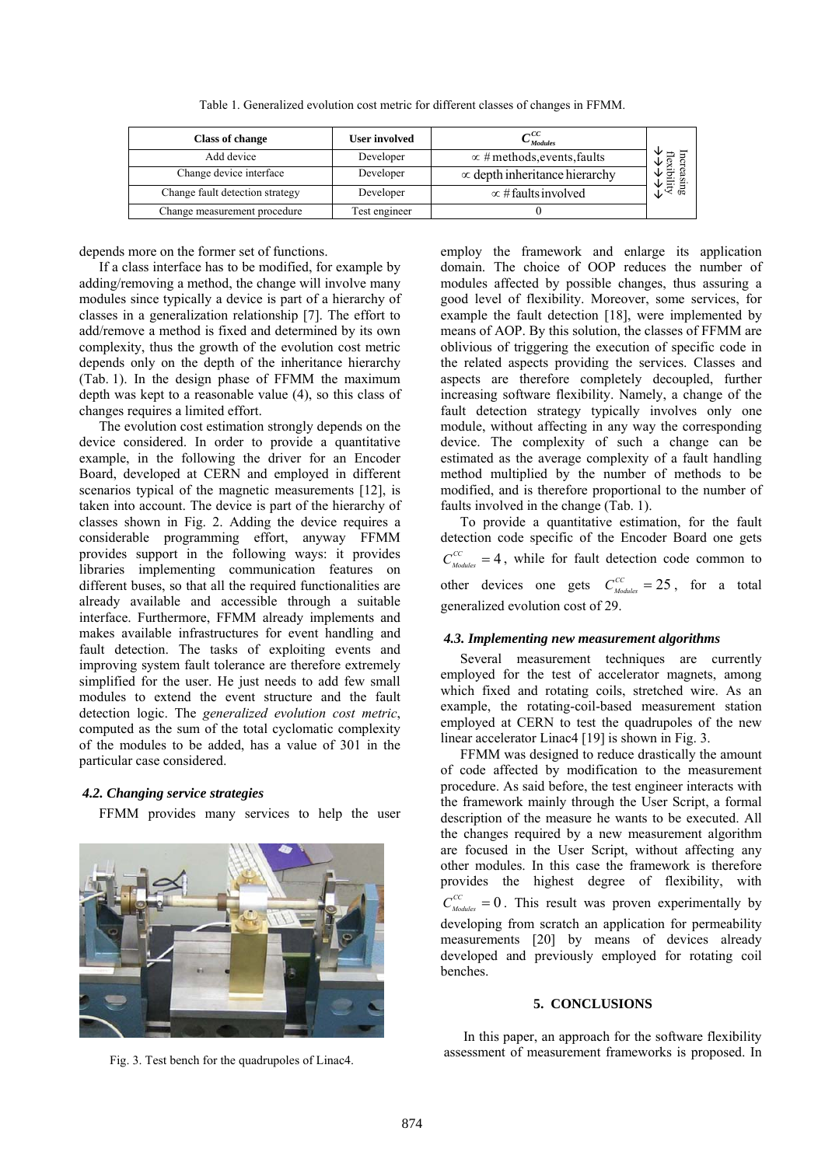Table 1. Generalized evolution cost metric for different classes of changes in FFMM.

| <b>Class of change</b>          | <b>User involved</b> | $\sigma^{CC}$<br>$-Modules$          |           |
|---------------------------------|----------------------|--------------------------------------|-----------|
| Add device                      | Developer            | $\propto$ # methods, events, faults  | ◡<br>flex |
| Change device interface         | Developer            | $\infty$ depth inheritance hierarchy | J         |
| Change fault detection strategy | Developer            | $\infty$ # faults involved           | Sing<br>대 |
| Change measurement procedure    | Test engineer        |                                      |           |

depends more on the former set of functions.

If a class interface has to be modified, for example by adding/removing a method, the change will involve many modules since typically a device is part of a hierarchy of classes in a generalization relationship [7]. The effort to add/remove a method is fixed and determined by its own complexity, thus the growth of the evolution cost metric depends only on the depth of the inheritance hierarchy (Tab. 1). In the design phase of FFMM the maximum depth was kept to a reasonable value (4), so this class of changes requires a limited effort.

The evolution cost estimation strongly depends on the device considered. In order to provide a quantitative example, in the following the driver for an Encoder Board, developed at CERN and employed in different scenarios typical of the magnetic measurements [12], is taken into account. The device is part of the hierarchy of classes shown in Fig. 2. Adding the device requires a considerable programming effort, anyway FFMM provides support in the following ways: it provides libraries implementing communication features on different buses, so that all the required functionalities are already available and accessible through a suitable interface. Furthermore, FFMM already implements and makes available infrastructures for event handling and fault detection. The tasks of exploiting events and improving system fault tolerance are therefore extremely simplified for the user. He just needs to add few small modules to extend the event structure and the fault detection logic. The *generalized evolution cost metric*, computed as the sum of the total cyclomatic complexity of the modules to be added, has a value of 301 in the particular case considered.

### *4.2. Changing service strategies*

FFMM provides many services to help the user



employ the framework and enlarge its application domain. The choice of OOP reduces the number of modules affected by possible changes, thus assuring a good level of flexibility. Moreover, some services, for example the fault detection [18], were implemented by means of AOP. By this solution, the classes of FFMM are oblivious of triggering the execution of specific code in the related aspects providing the services. Classes and aspects are therefore completely decoupled, further increasing software flexibility. Namely, a change of the fault detection strategy typically involves only one module, without affecting in any way the corresponding device. The complexity of such a change can be estimated as the average complexity of a fault handling method multiplied by the number of methods to be modified, and is therefore proportional to the number of faults involved in the change (Tab. 1).

To provide a quantitative estimation, for the fault detection code specific of the Encoder Board one gets  $C_{\textit{Modules}}^{CC} = 4$ , while for fault detection code common to other devices one gets  $C_{\text{Modules}}^{CC} = 25$ , for a total generalized evolution cost of 29.

#### *4.3. Implementing new measurement algorithms*

Several measurement techniques are currently employed for the test of accelerator magnets, among which fixed and rotating coils, stretched wire. As an example, the rotating-coil-based measurement station employed at CERN to test the quadrupoles of the new linear accelerator Linac4 [19] is shown in Fig. 3.

FFMM was designed to reduce drastically the amount of code affected by modification to the measurement procedure. As said before, the test engineer interacts with the framework mainly through the User Script, a formal description of the measure he wants to be executed. All the changes required by a new measurement algorithm are focused in the User Script, without affecting any other modules. In this case the framework is therefore provides the highest degree of flexibility, with  $C_{\textit{Modules}}^{CC} = 0$ . This result was proven experimentally by developing from scratch an application for permeability measurements [20] by means of devices already developed and previously employed for rotating coil benches.

#### **5. CONCLUSIONS**

In this paper, an approach for the software flexibility assessment of measurement frameworks is proposed. In Fig. 3. Test bench for the quadrupoles of Linac4.